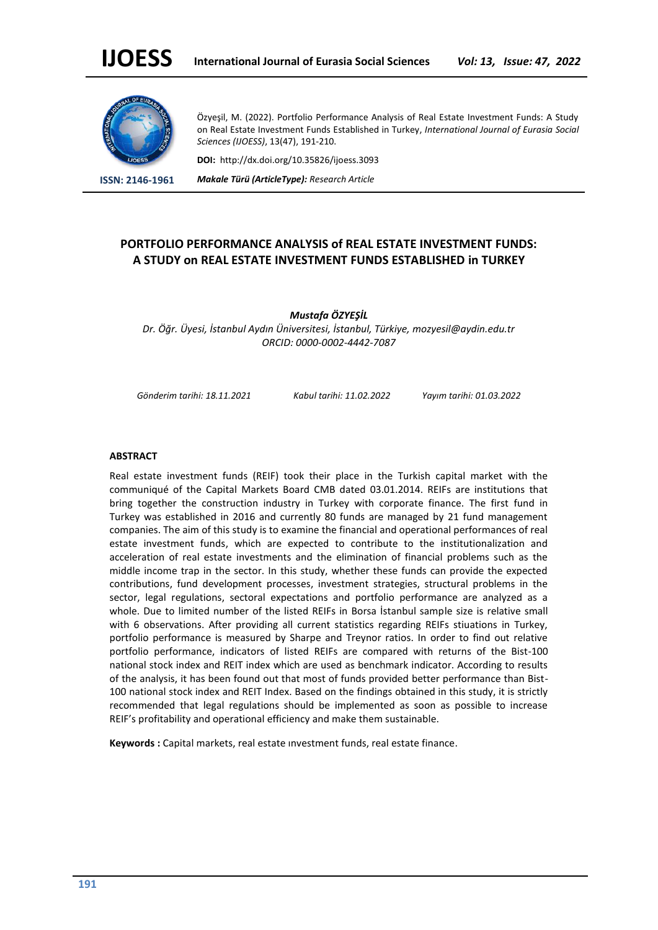

Özyeşil, M. (2022). Portfolio Performance Analysis of Real Estate Investment Funds: A Study on Real Estate Investment Funds Established in Turkey, *International Journal of Eurasia Social Sciences (IJOESS)*, 13(47), 191-210.

**DOI:** http://dx.doi.org/10.35826/ijoess.3093

**ISSN: 2146-1961** *Makale Türü (ArticleType): Research Article*

## **PORTFOLIO PERFORMANCE ANALYSIS of REAL ESTATE INVESTMENT FUNDS: A STUDY on REAL ESTATE INVESTMENT FUNDS ESTABLISHED in TURKEY**

*Mustafa ÖZYEŞİL Dr. Öğr. Üyesi, İstanbul Aydın Üniversitesi, İstanbul, Türkiye, mozyesil@aydin.edu.tr ORCID: 0000-0002-4442-7087*

*Gönderim tarihi: 18.11.2021 Kabul tarihi: 11.02.2022 Yayım tarihi: 01.03.2022*

#### **ABSTRACT**

Real estate investment funds (REIF) took their place in the Turkish capital market with the communiqué of the Capital Markets Board CMB dated 03.01.2014. REIFs are institutions that bring together the construction industry in Turkey with corporate finance. The first fund in Turkey was established in 2016 and currently 80 funds are managed by 21 fund management companies. The aim of this study is to examine the financial and operational performances of real estate investment funds, which are expected to contribute to the institutionalization and acceleration of real estate investments and the elimination of financial problems such as the middle income trap in the sector. In this study, whether these funds can provide the expected contributions, fund development processes, investment strategies, structural problems in the sector, legal regulations, sectoral expectations and portfolio performance are analyzed as a whole. Due to limited number of the listed REIFs in Borsa İstanbul sample size is relative small with 6 observations. After providing all current statistics regarding REIFs stiuations in Turkey, portfolio performance is measured by Sharpe and Treynor ratios. In order to find out relative portfolio performance, indicators of listed REIFs are compared with returns of the Bist-100 national stock index and REIT index which are used as benchmark indicator. According to results of the analysis, it has been found out that most of funds provided better performance than Bist-100 national stock index and REIT Index. Based on the findings obtained in this study, it is strictly recommended that legal regulations should be implemented as soon as possible to increase REIF's profitability and operational efficiency and make them sustainable.

**Keywords :** Capital markets, real estate ınvestment funds, real estate finance.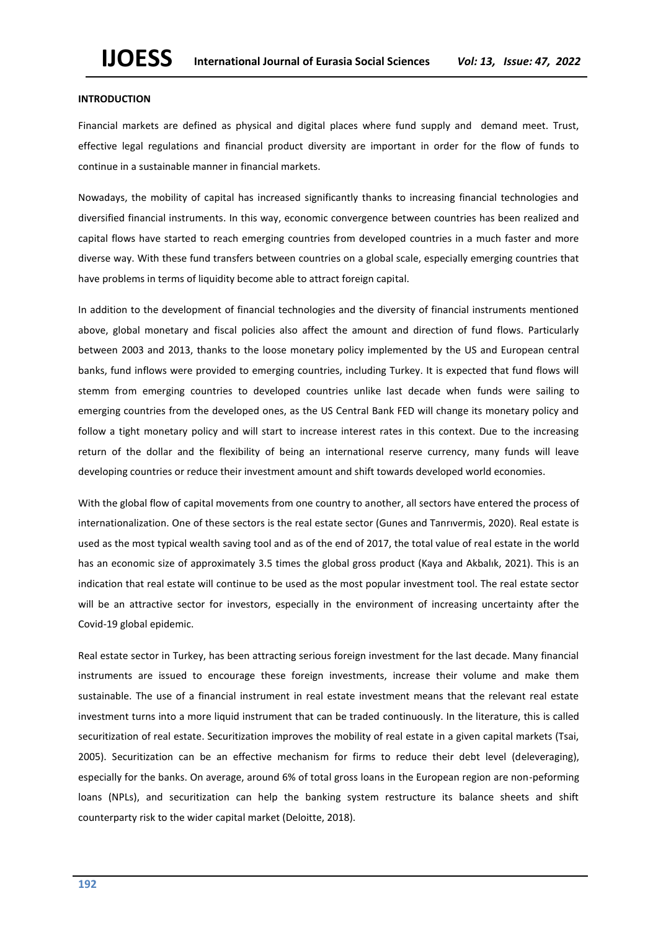## **INTRODUCTION**

Financial markets are defined as physical and digital places where fund supply and demand meet. Trust, effective legal regulations and financial product diversity are important in order for the flow of funds to continue in a sustainable manner in financial markets.

Nowadays, the mobility of capital has increased significantly thanks to increasing financial technologies and diversified financial instruments. In this way, economic convergence between countries has been realized and capital flows have started to reach emerging countries from developed countries in a much faster and more diverse way. With these fund transfers between countries on a global scale, especially emerging countries that have problems in terms of liquidity become able to attract foreign capital.

In addition to the development of financial technologies and the diversity of financial instruments mentioned above, global monetary and fiscal policies also affect the amount and direction of fund flows. Particularly between 2003 and 2013, thanks to the loose monetary policy implemented by the US and European central banks, fund inflows were provided to emerging countries, including Turkey. It is expected that fund flows will stemm from emerging countries to developed countries unlike last decade when funds were sailing to emerging countries from the developed ones, as the US Central Bank FED will change its monetary policy and follow a tight monetary policy and will start to increase interest rates in this context. Due to the increasing return of the dollar and the flexibility of being an international reserve currency, many funds will leave developing countries or reduce their investment amount and shift towards developed world economies.

With the global flow of capital movements from one country to another, all sectors have entered the process of internationalization. One of these sectors is the real estate sector (Gunes and Tanrıvermis, 2020). Real estate is used as the most typical wealth saving tool and as of the end of 2017, the total value of real estate in the world has an economic size of approximately 3.5 times the global gross product (Kaya and Akbalık, 2021). This is an indication that real estate will continue to be used as the most popular investment tool. The real estate sector will be an attractive sector for investors, especially in the environment of increasing uncertainty after the Covid-19 global epidemic.

Real estate sector in Turkey, has been attracting serious foreign investment for the last decade. Many financial instruments are issued to encourage these foreign investments, increase their volume and make them sustainable. The use of a financial instrument in real estate investment means that the relevant real estate investment turns into a more liquid instrument that can be traded continuously. In the literature, this is called securitization of real estate. Securitization improves the mobility of real estate in a given capital markets (Tsai, 2005). Securitization can be an effective mechanism for firms to reduce their debt level (deleveraging), especially for the banks. On average, around 6% of total gross loans in the European region are non-peforming loans (NPLs), and securitization can help the banking system restructure its balance sheets and shift counterparty risk to the wider capital market (Deloitte, 2018).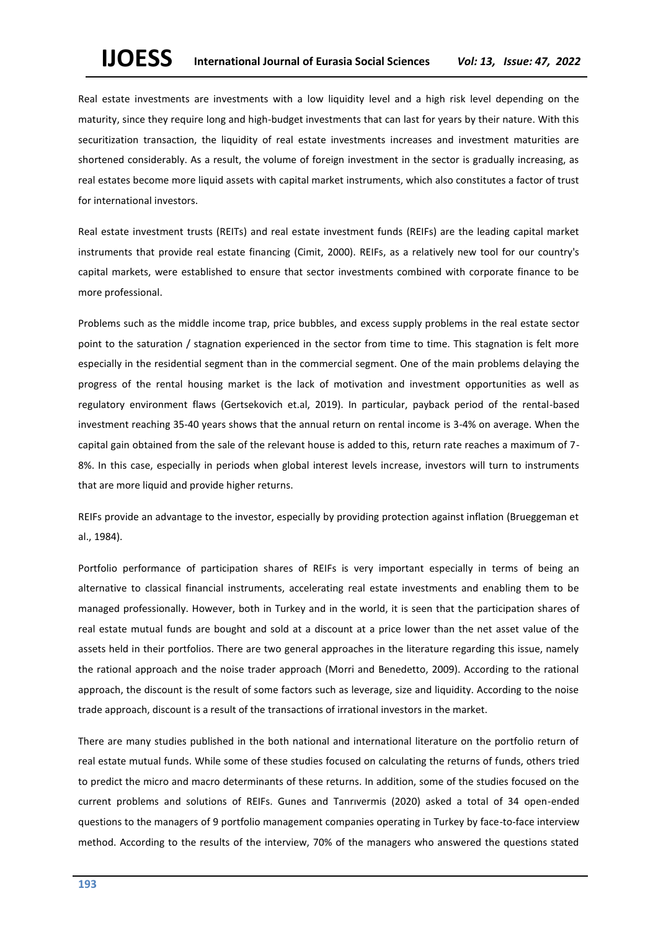Real estate investments are investments with a low liquidity level and a high risk level depending on the maturity, since they require long and high-budget investments that can last for years by their nature. With this securitization transaction, the liquidity of real estate investments increases and investment maturities are shortened considerably. As a result, the volume of foreign investment in the sector is gradually increasing, as real estates become more liquid assets with capital market instruments, which also constitutes a factor of trust for international investors.

Real estate investment trusts (REITs) and real estate investment funds (REIFs) are the leading capital market instruments that provide real estate financing (Cimit, 2000). REIFs, as a relatively new tool for our country's capital markets, were established to ensure that sector investments combined with corporate finance to be more professional.

Problems such as the middle income trap, price bubbles, and excess supply problems in the real estate sector point to the saturation / stagnation experienced in the sector from time to time. This stagnation is felt more especially in the residential segment than in the commercial segment. One of the main problems delaying the progress of the rental housing market is the lack of motivation and investment opportunities as well as regulatory environment flaws (Gertsekovich et.al, 2019). In particular, payback period of the rental-based investment reaching 35-40 years shows that the annual return on rental income is 3-4% on average. When the capital gain obtained from the sale of the relevant house is added to this, return rate reaches a maximum of 7- 8%. In this case, especially in periods when global interest levels increase, investors will turn to instruments that are more liquid and provide higher returns.

REIFs provide an advantage to the investor, especially by providing protection against inflation (Brueggeman et al., 1984).

Portfolio performance of participation shares of REIFs is very important especially in terms of being an alternative to classical financial instruments, accelerating real estate investments and enabling them to be managed professionally. However, both in Turkey and in the world, it is seen that the participation shares of real estate mutual funds are bought and sold at a discount at a price lower than the net asset value of the assets held in their portfolios. There are two general approaches in the literature regarding this issue, namely the rational approach and the noise trader approach (Morri and Benedetto, 2009). According to the rational approach, the discount is the result of some factors such as leverage, size and liquidity. According to the noise trade approach, discount is a result of the transactions of irrational investors in the market.

There are many studies published in the both national and international literature on the portfolio return of real estate mutual funds. While some of these studies focused on calculating the returns of funds, others tried to predict the micro and macro determinants of these returns. In addition, some of the studies focused on the current problems and solutions of REIFs. Gunes and Tanrıvermis (2020) asked a total of 34 open-ended questions to the managers of 9 portfolio management companies operating in Turkey by face-to-face interview method. According to the results of the interview, 70% of the managers who answered the questions stated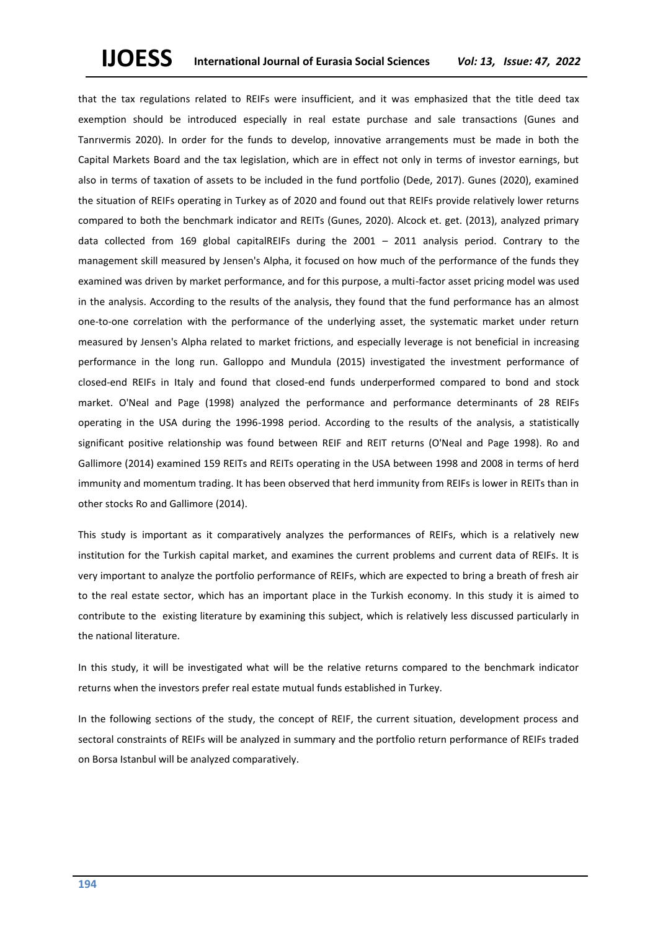that the tax regulations related to REIFs were insufficient, and it was emphasized that the title deed tax exemption should be introduced especially in real estate purchase and sale transactions (Gunes and Tanrıvermis 2020). In order for the funds to develop, innovative arrangements must be made in both the Capital Markets Board and the tax legislation, which are in effect not only in terms of investor earnings, but also in terms of taxation of assets to be included in the fund portfolio (Dede, 2017). Gunes (2020), examined the situation of REIFs operating in Turkey as of 2020 and found out that REIFs provide relatively lower returns compared to both the benchmark indicator and REITs (Gunes, 2020). Alcock et. get. (2013), analyzed primary data collected from 169 global capitalREIFs during the 2001 – 2011 analysis period. Contrary to the management skill measured by Jensen's Alpha, it focused on how much of the performance of the funds they examined was driven by market performance, and for this purpose, a multi-factor asset pricing model was used in the analysis. According to the results of the analysis, they found that the fund performance has an almost one-to-one correlation with the performance of the underlying asset, the systematic market under return measured by Jensen's Alpha related to market frictions, and especially leverage is not beneficial in increasing performance in the long run. Galloppo and Mundula (2015) investigated the investment performance of closed-end REIFs in Italy and found that closed-end funds underperformed compared to bond and stock market. O'Neal and Page (1998) analyzed the performance and performance determinants of 28 REIFs operating in the USA during the 1996-1998 period. According to the results of the analysis, a statistically significant positive relationship was found between REIF and REIT returns (O'Neal and Page 1998). Ro and Gallimore (2014) examined 159 REITs and REITs operating in the USA between 1998 and 2008 in terms of herd immunity and momentum trading. It has been observed that herd immunity from REIFs is lower in REITs than in other stocks Ro and Gallimore (2014).

This study is important as it comparatively analyzes the performances of REIFs, which is a relatively new institution for the Turkish capital market, and examines the current problems and current data of REIFs. It is very important to analyze the portfolio performance of REIFs, which are expected to bring a breath of fresh air to the real estate sector, which has an important place in the Turkish economy. In this study it is aimed to contribute to the existing literature by examining this subject, which is relatively less discussed particularly in the national literature.

In this study, it will be investigated what will be the relative returns compared to the benchmark indicator returns when the investors prefer real estate mutual funds established in Turkey.

In the following sections of the study, the concept of REIF, the current situation, development process and sectoral constraints of REIFs will be analyzed in summary and the portfolio return performance of REIFs traded on Borsa Istanbul will be analyzed comparatively.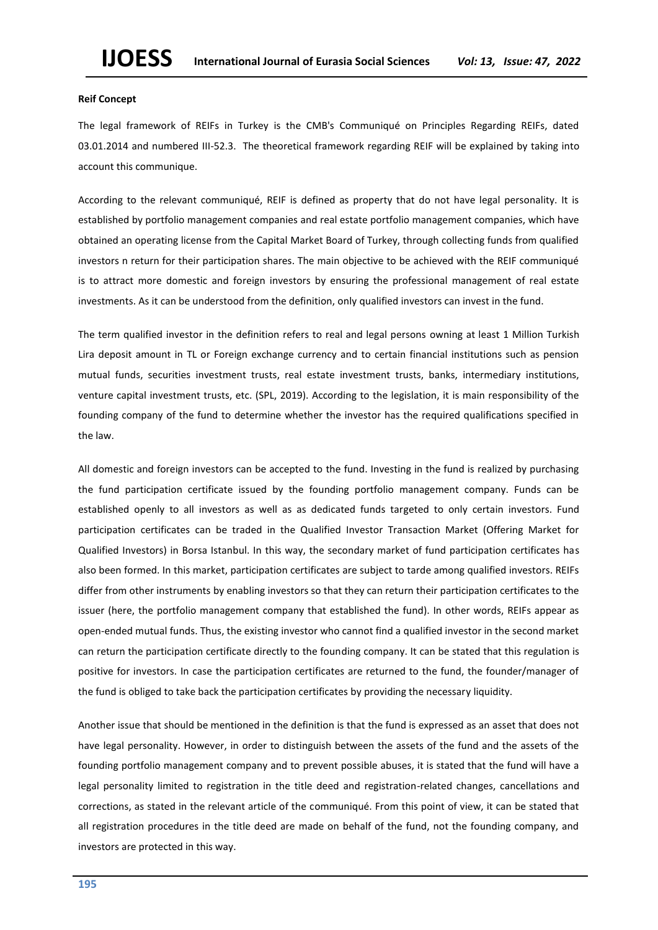#### **Reif Concept**

The legal framework of REIFs in Turkey is the CMB's Communiqué on Principles Regarding REIFs, dated 03.01.2014 and numbered III-52.3. The theoretical framework regarding REIF will be explained by taking into account this communique.

According to the relevant communiqué, REIF is defined as property that do not have legal personality. It is established by portfolio management companies and real estate portfolio management companies, which have obtained an operating license from the Capital Market Board of Turkey, through collecting funds from qualified investors n return for their participation shares. The main objective to be achieved with the REIF communiqué is to attract more domestic and foreign investors by ensuring the professional management of real estate investments. As it can be understood from the definition, only qualified investors can invest in the fund.

The term qualified investor in the definition refers to real and legal persons owning at least 1 Million Turkish Lira deposit amount in TL or Foreign exchange currency and to certain financial institutions such as pension mutual funds, securities investment trusts, real estate investment trusts, banks, intermediary institutions, venture capital investment trusts, etc. (SPL, 2019). According to the legislation, it is main responsibility of the founding company of the fund to determine whether the investor has the required qualifications specified in the law.

All domestic and foreign investors can be accepted to the fund. Investing in the fund is realized by purchasing the fund participation certificate issued by the founding portfolio management company. Funds can be established openly to all investors as well as as dedicated funds targeted to only certain investors. Fund participation certificates can be traded in the Qualified Investor Transaction Market (Offering Market for Qualified Investors) in Borsa Istanbul. In this way, the secondary market of fund participation certificates has also been formed. In this market, participation certificates are subject to tarde among qualified investors. REIFs differ from other instruments by enabling investors so that they can return their participation certificates to the issuer (here, the portfolio management company that established the fund). In other words, REIFs appear as open-ended mutual funds. Thus, the existing investor who cannot find a qualified investor in the second market can return the participation certificate directly to the founding company. It can be stated that this regulation is positive for investors. In case the participation certificates are returned to the fund, the founder/manager of the fund is obliged to take back the participation certificates by providing the necessary liquidity.

Another issue that should be mentioned in the definition is that the fund is expressed as an asset that does not have legal personality. However, in order to distinguish between the assets of the fund and the assets of the founding portfolio management company and to prevent possible abuses, it is stated that the fund will have a legal personality limited to registration in the title deed and registration-related changes, cancellations and corrections, as stated in the relevant article of the communiqué. From this point of view, it can be stated that all registration procedures in the title deed are made on behalf of the fund, not the founding company, and investors are protected in this way.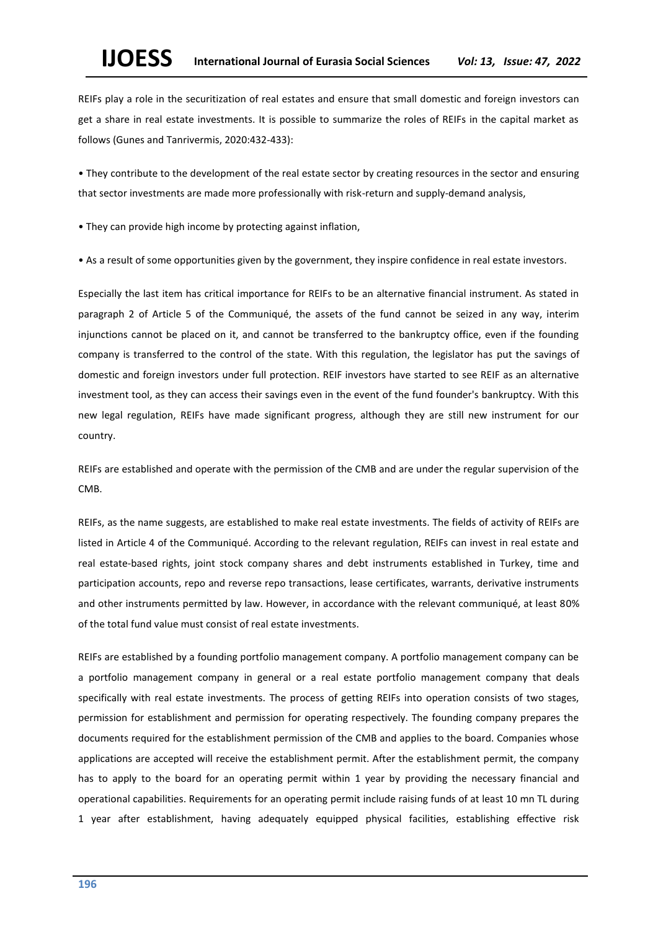REIFs play a role in the securitization of real estates and ensure that small domestic and foreign investors can get a share in real estate investments. It is possible to summarize the roles of REIFs in the capital market as follows (Gunes and Tanrivermis, 2020:432-433):

• They contribute to the development of the real estate sector by creating resources in the sector and ensuring that sector investments are made more professionally with risk-return and supply-demand analysis,

• They can provide high income by protecting against inflation,

• As a result of some opportunities given by the government, they inspire confidence in real estate investors.

Especially the last item has critical importance for REIFs to be an alternative financial instrument. As stated in paragraph 2 of Article 5 of the Communiqué, the assets of the fund cannot be seized in any way, interim injunctions cannot be placed on it, and cannot be transferred to the bankruptcy office, even if the founding company is transferred to the control of the state. With this regulation, the legislator has put the savings of domestic and foreign investors under full protection. REIF investors have started to see REIF as an alternative investment tool, as they can access their savings even in the event of the fund founder's bankruptcy. With this new legal regulation, REIFs have made significant progress, although they are still new instrument for our country.

REIFs are established and operate with the permission of the CMB and are under the regular supervision of the CMB.

REIFs, as the name suggests, are established to make real estate investments. The fields of activity of REIFs are listed in Article 4 of the Communiqué. According to the relevant regulation, REIFs can invest in real estate and real estate-based rights, joint stock company shares and debt instruments established in Turkey, time and participation accounts, repo and reverse repo transactions, lease certificates, warrants, derivative instruments and other instruments permitted by law. However, in accordance with the relevant communiqué, at least 80% of the total fund value must consist of real estate investments.

REIFs are established by a founding portfolio management company. A portfolio management company can be a portfolio management company in general or a real estate portfolio management company that deals specifically with real estate investments. The process of getting REIFs into operation consists of two stages, permission for establishment and permission for operating respectively. The founding company prepares the documents required for the establishment permission of the CMB and applies to the board. Companies whose applications are accepted will receive the establishment permit. After the establishment permit, the company has to apply to the board for an operating permit within 1 year by providing the necessary financial and operational capabilities. Requirements for an operating permit include raising funds of at least 10 mn TL during 1 year after establishment, having adequately equipped physical facilities, establishing effective risk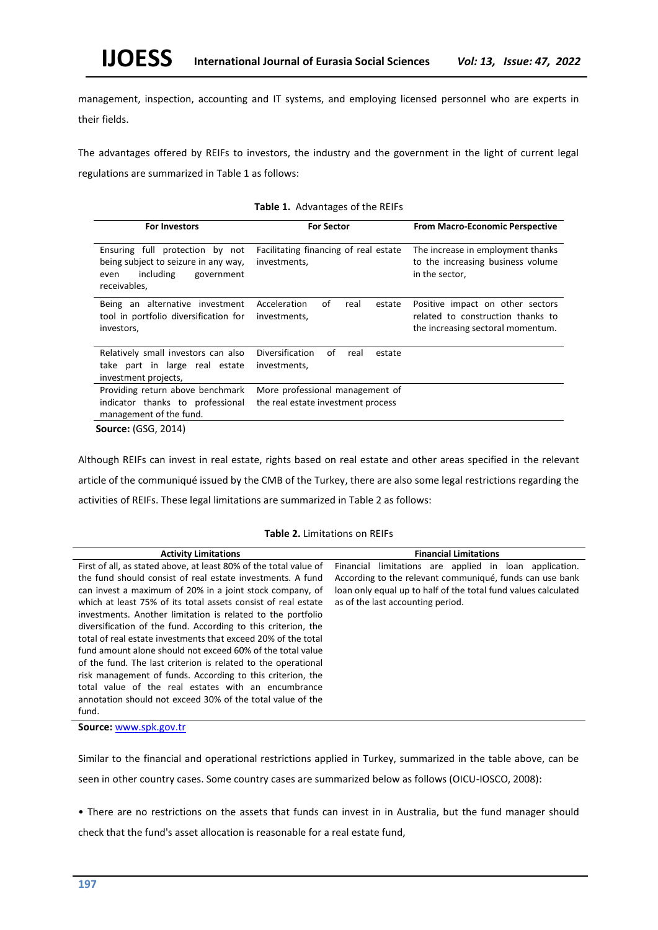management, inspection, accounting and IT systems, and employing licensed personnel who are experts in their fields.

The advantages offered by REIFs to investors, the industry and the government in the light of current legal regulations are summarized in Table 1 as follows:

| <b>For Investors</b>                                                                                                       | <b>For Sector</b>                                                     | <b>From Macro-Economic Perspective</b>                                                                     |
|----------------------------------------------------------------------------------------------------------------------------|-----------------------------------------------------------------------|------------------------------------------------------------------------------------------------------------|
| Ensuring full protection by not<br>being subject to seizure in any way,<br>including<br>government<br>even<br>receivables, | Facilitating financing of real estate<br>investments,                 | The increase in employment thanks<br>to the increasing business volume<br>in the sector,                   |
| Being an alternative investment<br>tool in portfolio diversification for<br>investors,                                     | Acceleration<br>οf<br>estate<br>real<br>investments,                  | Positive impact on other sectors<br>related to construction thanks to<br>the increasing sectoral momentum. |
| Relatively small investors can also<br>take part in large real estate<br>investment projects,                              | Diversification<br>of<br>estate<br>real<br>investments,               |                                                                                                            |
| Providing return above benchmark<br>indicator thanks to professional<br>management of the fund.                            | More professional management of<br>the real estate investment process |                                                                                                            |
| <b>Source: (GSG, 2014)</b>                                                                                                 |                                                                       |                                                                                                            |

#### **Table 1.** Advantages of the REIFs

Although REIFs can invest in real estate, rights based on real estate and other areas specified in the relevant article of the communiqué issued by the CMB of the Turkey, there are also some legal restrictions regarding the activities of REIFs. These legal limitations are summarized in Table 2 as follows:

## **Table 2.** Limitations on REIFs

| <b>Activity Limitations</b>                                       | <b>Financial Limitations</b>                                   |
|-------------------------------------------------------------------|----------------------------------------------------------------|
| First of all, as stated above, at least 80% of the total value of | Financial limitations are applied in loan application.         |
| the fund should consist of real estate investments. A fund        | According to the relevant communiqué, funds can use bank       |
| can invest a maximum of 20% in a joint stock company, of          | loan only equal up to half of the total fund values calculated |
| which at least 75% of its total assets consist of real estate     | as of the last accounting period.                              |
| investments. Another limitation is related to the portfolio       |                                                                |
| diversification of the fund. According to this criterion, the     |                                                                |
| total of real estate investments that exceed 20% of the total     |                                                                |
| fund amount alone should not exceed 60% of the total value        |                                                                |
| of the fund. The last criterion is related to the operational     |                                                                |
| risk management of funds. According to this criterion, the        |                                                                |
| total value of the real estates with an encumbrance               |                                                                |
| annotation should not exceed 30% of the total value of the        |                                                                |
| fund.                                                             |                                                                |

**Source:** [www.spk.gov.tr](http://www.spk.gov.tr/)

Similar to the financial and operational restrictions applied in Turkey, summarized in the table above, can be seen in other country cases. Some country cases are summarized below as follows (OICU-IOSCO, 2008):

• There are no restrictions on the assets that funds can invest in in Australia, but the fund manager should

check that the fund's asset allocation is reasonable for a real estate fund,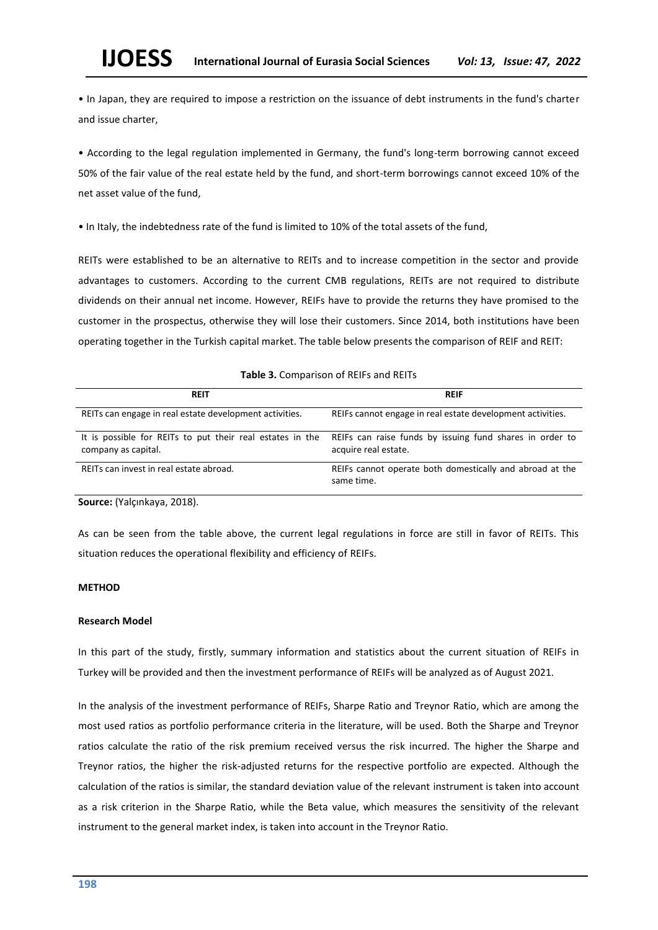• In Japan, they are required to impose a restriction on the issuance of debt instruments in the fund's charter and issue charter,

• According to the legal regulation implemented in Germany, the fund's long-term borrowing cannot exceed 50% of the fair value of the real estate held by the fund, and short-term borrowings cannot exceed 10% of the net asset value of the fund,

• In Italy, the indebtedness rate of the fund is limited to 10% of the total assets of the fund,

REITs were established to be an alternative to REITs and to increase competition in the sector and provide advantages to customers. According to the current CMB regulations, REITs are not required to distribute dividends on their annual net income. However, REIFs have to provide the returns they have promised to the customer in the prospectus, otherwise they will lose their customers. Since 2014, both institutions have been operating together in the Turkish capital market. The table below presents the comparison of REIF and REIT:

## **Table 3.** Comparison of REIFs and REITs

| <b>REIT</b>                                                                      | <b>REIF</b>                                                                      |
|----------------------------------------------------------------------------------|----------------------------------------------------------------------------------|
| REITs can engage in real estate development activities.                          | REIFs cannot engage in real estate development activities.                       |
| It is possible for REITs to put their real estates in the<br>company as capital. | REIFs can raise funds by issuing fund shares in order to<br>acquire real estate. |
| REITs can invest in real estate abroad.                                          | REIFs cannot operate both domestically and abroad at the<br>same time.           |

**Source:** (Yalçınkaya, 2018).

As can be seen from the table above, the current legal regulations in force are still in favor of REITs. This situation reduces the operational flexibility and efficiency of REIFs.

## **METHOD**

## **Research Model**

In this part of the study, firstly, summary information and statistics about the current situation of REIFs in Turkey will be provided and then the investment performance of REIFs will be analyzed as of August 2021.

In the analysis of the investment performance of REIFs, Sharpe Ratio and Treynor Ratio, which are among the most used ratios as portfolio performance criteria in the literature, will be used. Both the Sharpe and Treynor ratios calculate the ratio of the risk premium received versus the risk incurred. The higher the Sharpe and Treynor ratios, the higher the risk-adjusted returns for the respective portfolio are expected. Although the calculation of the ratios is similar, the standard deviation value of the relevant instrument is taken into account as a risk criterion in the Sharpe Ratio, while the Beta value, which measures the sensitivity of the relevant instrument to the general market index, is taken into account in the Treynor Ratio.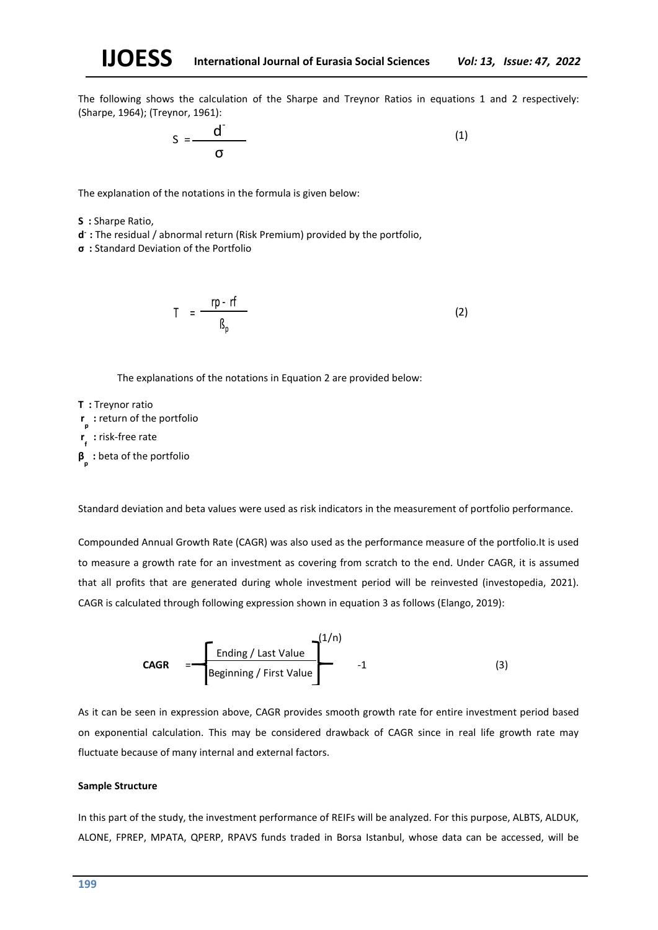The following shows the calculation of the Sharpe and Treynor Ratios in equations 1 and 2 respectively: (Sharpe, 1964); (Treynor, 1961):

$$
S = \frac{d^{T}}{\sigma}
$$
 (1)

The explanation of the notations in the formula is given below:

**S :** Sharpe Ratio,

- **d :** The residual / abnormal return (Risk Premium) provided by the portfolio,
- **σ :** Standard Deviation of the Portfolio

$$
T = \frac{rp - rf}{\beta_p} \tag{2}
$$

The explanations of the notations in Equation 2 are provided below:

- **T :** Treynor ratio
- **r p :** return of the portfolio

**r f :** risk-free rate

**β p :** beta of the portfolio

Standard deviation and beta values were used as risk indicators in the measurement of portfolio performance.

Compounded Annual Growth Rate (CAGR) was also used as the performance measure of the portfolio.It is used to measure a growth rate for an investment as covering from scratch to the end. Under CAGR, it is assumed that all profits that are generated during whole investment period will be reinvested (investopedia, 2021). CAGR is calculated through following expression shown in equation 3 as follows (Elango, 2019):

$$
CAGR = \frac{1}{\text{Ending / Last Value}} \begin{bmatrix} 1/n \\ 1/n \end{bmatrix}
$$

As it can be seen in expression above, CAGR provides smooth growth rate for entire investment period based on exponential calculation. This may be considered drawback of CAGR since in real life growth rate may fluctuate because of many internal and external factors.

#### **Sample Structure**

In this part of the study, the investment performance of REIFs will be analyzed. For this purpose, ALBTS, ALDUK, ALONE, FPREP, MPATA, QPERP, RPAVS funds traded in Borsa Istanbul, whose data can be accessed, will be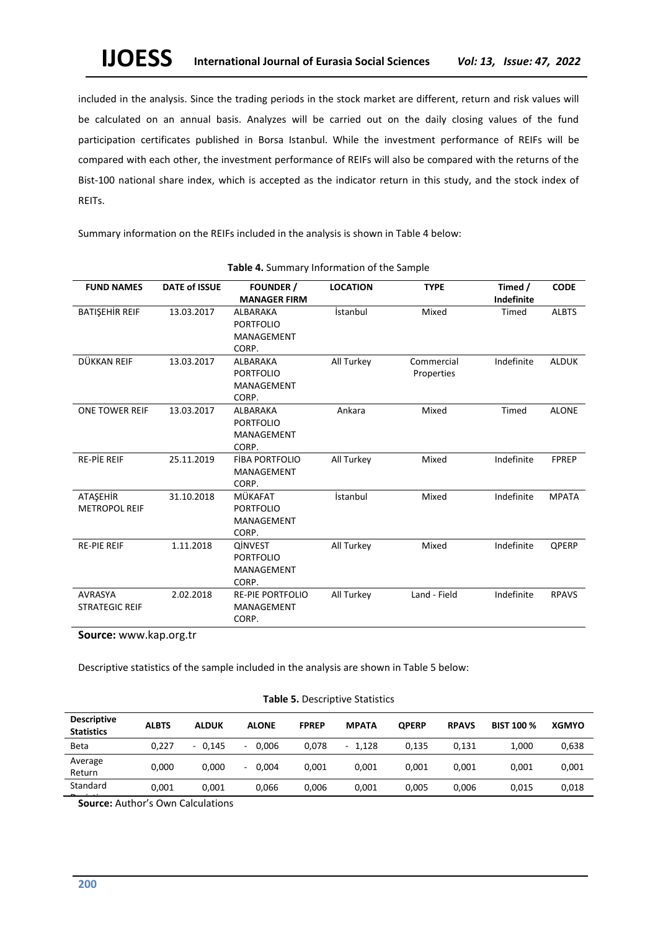included in the analysis. Since the trading periods in the stock market are different, return and risk values will be calculated on an annual basis. Analyzes will be carried out on the daily closing values of the fund participation certificates published in Borsa Istanbul. While the investment performance of REIFs will be compared with each other, the investment performance of REIFs will also be compared with the returns of the Bist-100 national share index, which is accepted as the indicator return in this study, and the stock index of REITs.

Summary information on the REIFs included in the analysis is shown in Table 4 below:

| <b>FUND NAMES</b>     | <b>DATE of ISSUE</b> | <b>FOUNDER /</b><br><b>MANAGER FIRM</b> | <b>LOCATION</b><br><b>TYPE</b> |              | Timed /<br>Indefinite | <b>CODE</b>  |
|-----------------------|----------------------|-----------------------------------------|--------------------------------|--------------|-----------------------|--------------|
|                       |                      |                                         |                                |              |                       |              |
| BATIŞEHİR REIF        | 13.03.2017           | ALBARAKA                                | İstanbul                       | Mixed        | Timed                 | <b>ALBTS</b> |
|                       |                      | <b>PORTFOLIO</b>                        |                                |              |                       |              |
|                       |                      | MANAGEMENT                              |                                |              |                       |              |
|                       |                      | CORP.                                   |                                |              |                       |              |
| DÜKKAN REIF           | 13.03.2017           | ALBARAKA                                | All Turkey                     | Commercial   | Indefinite            | <b>ALDUK</b> |
|                       |                      | <b>PORTFOLIO</b>                        |                                | Properties   |                       |              |
|                       |                      | MANAGEMENT                              |                                |              |                       |              |
|                       |                      | CORP.                                   |                                |              |                       |              |
| <b>ONE TOWER REIF</b> | 13.03.2017           | ALBARAKA                                | Ankara                         | Mixed        | Timed                 | <b>ALONE</b> |
|                       |                      | <b>PORTFOLIO</b>                        |                                |              |                       |              |
|                       |                      | MANAGEMENT                              |                                |              |                       |              |
|                       |                      | CORP.                                   |                                |              |                       |              |
| <b>RE-PIE REIF</b>    | 25.11.2019           | <b>FIBA PORTFOLIO</b>                   | All Turkey                     | Mixed        | Indefinite            | <b>FPREP</b> |
|                       |                      | MANAGEMENT                              |                                |              |                       |              |
|                       |                      | CORP.                                   |                                |              |                       |              |
| ATAŞEHİR              | 31.10.2018           | MÜKAFAT                                 | İstanbul                       | Mixed        | Indefinite            | <b>MPATA</b> |
| <b>METROPOL REIF</b>  |                      | <b>PORTFOLIO</b>                        |                                |              |                       |              |
|                       |                      | MANAGEMENT                              |                                |              |                       |              |
|                       |                      | CORP.                                   |                                |              |                       |              |
| <b>RE-PIE REIF</b>    | 1.11.2018            | <b>QINVEST</b>                          | All Turkey                     | Mixed        | Indefinite            | QPERP        |
|                       |                      | <b>PORTFOLIO</b>                        |                                |              |                       |              |
|                       |                      | MANAGEMENT                              |                                |              |                       |              |
|                       |                      | CORP.                                   |                                |              |                       |              |
| <b>AVRASYA</b>        | 2.02.2018            | <b>RE-PIE PORTFOLIO</b>                 | All Turkey                     | Land - Field | Indefinite            | <b>RPAVS</b> |
| <b>STRATEGIC REIF</b> |                      | MANAGEMENT                              |                                |              |                       |              |
|                       |                      | CORP.                                   |                                |              |                       |              |
|                       |                      |                                         |                                |              |                       |              |

#### **Table 4.** Summary Information of the Sample

**Source:** www.kap.org.tr

Descriptive statistics of the sample included in the analysis are shown in Table 5 below:

## **Table 5.** Descriptive Statistics

| <b>Descriptive</b><br><b>Statistics</b> | <b>ALBTS</b> | <b>ALDUK</b>    | <b>ALONE</b> | <b>FPREP</b> | <b>MPATA</b> | <b>OPERP</b> | <b>RPAVS</b> | <b>BIST 100 %</b> | <b>XGMYO</b> |
|-----------------------------------------|--------------|-----------------|--------------|--------------|--------------|--------------|--------------|-------------------|--------------|
| <b>Beta</b>                             | 0,227        | 0.145<br>$\sim$ | 0.006<br>٠   | 0.078        | $-1.128$     | 0.135        | 0.131        | 1.000             | 0,638        |
| Average<br>Return                       | 0.000        | 0.000           | 0.004<br>٠   | 0.001        | 0.001        | 0.001        | 0.001        | 0.001             | 0,001        |
| Standard                                | 0,001        | 0,001           | 0,066        | 0,006        | 0,001        | 0,005        | 0,006        | 0,015             | 0,018        |

**Source:** Author's Own Calculations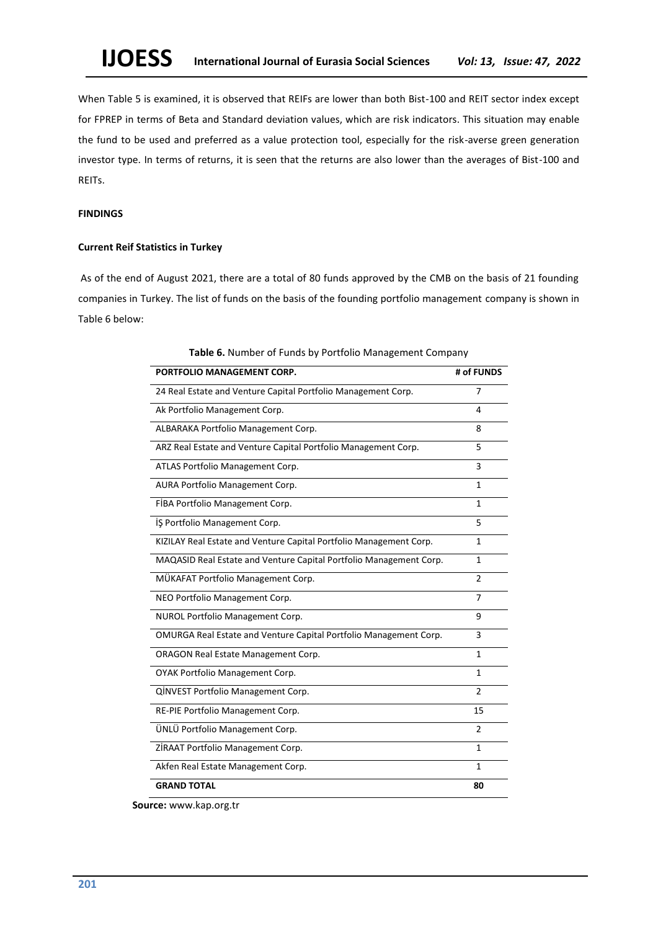When Table 5 is examined, it is observed that REIFs are lower than both Bist-100 and REIT sector index except for FPREP in terms of Beta and Standard deviation values, which are risk indicators. This situation may enable the fund to be used and preferred as a value protection tool, especially for the risk-averse green generation investor type. In terms of returns, it is seen that the returns are also lower than the averages of Bist-100 and REITs.

## **FINDINGS**

## **Current Reif Statistics in Turkey**

As of the end of August 2021, there are a total of 80 funds approved by the CMB on the basis of 21 founding companies in Turkey. The list of funds on the basis of the founding portfolio management company is shown in Table 6 below:

| PORTFOLIO MANAGEMENT CORP.                                         | # of FUNDS     |
|--------------------------------------------------------------------|----------------|
| 24 Real Estate and Venture Capital Portfolio Management Corp.      | 7              |
| Ak Portfolio Management Corp.                                      | 4              |
| ALBARAKA Portfolio Management Corp.                                | 8              |
| ARZ Real Estate and Venture Capital Portfolio Management Corp.     | 5              |
| ATLAS Portfolio Management Corp.                                   | 3              |
| AURA Portfolio Management Corp.                                    | 1              |
| FIBA Portfolio Management Corp.                                    | 1              |
| IS Portfolio Management Corp.                                      | 5              |
| KIZILAY Real Estate and Venture Capital Portfolio Management Corp. | 1              |
| MAQASID Real Estate and Venture Capital Portfolio Management Corp. | $\mathbf{1}$   |
| MÜKAFAT Portfolio Management Corp.                                 | 2              |
| NEO Portfolio Management Corp.                                     | $\overline{7}$ |
| NUROL Portfolio Management Corp.                                   | 9              |
| OMURGA Real Estate and Venture Capital Portfolio Management Corp.  | 3              |
| <b>ORAGON Real Estate Management Corp.</b>                         | 1              |
| OYAK Portfolio Management Corp.                                    | 1              |
| QINVEST Portfolio Management Corp.                                 | $\mathfrak{p}$ |
| RE-PIE Portfolio Management Corp.                                  | 15             |
| ÜNLÜ Portfolio Management Corp.                                    | $\overline{2}$ |
| ZIRAAT Portfolio Management Corp.                                  | 1              |
| Akfen Real Estate Management Corp.                                 | 1              |
| <b>GRAND TOTAL</b>                                                 | 80             |

**Table 6.** Number of Funds by Portfolio Management Company

 **Source:** www.kap.org.tr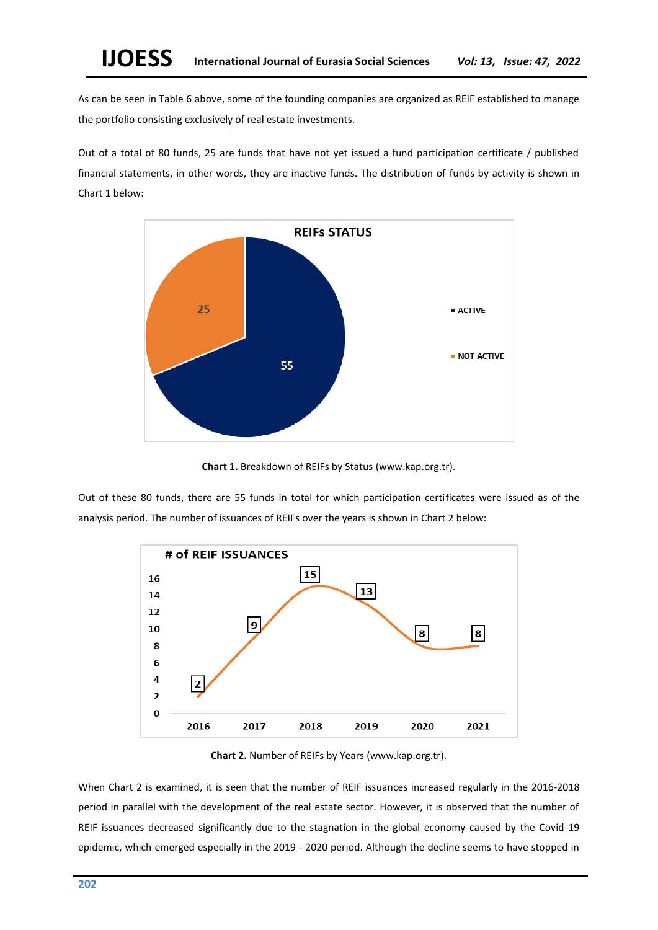As can be seen in Table 6 above, some of the founding companies are organized as REIF established to manage the portfolio consisting exclusively of real estate investments.

Out of a total of 80 funds, 25 are funds that have not yet issued a fund participation certificate / published financial statements, in other words, they are inactive funds. The distribution of funds by activity is shown in Chart 1 below:



**Chart 1.** Breakdown of REIFs by Status (www.kap.org.tr).

Out of these 80 funds, there are 55 funds in total for which participation certificates were issued as of the analysis period. The number of issuances of REIFs over the years is shown in Chart 2 below:



**Chart 2.** Number of REIFs by Years (www.kap.org.tr).

When Chart 2 is examined, it is seen that the number of REIF issuances increased regularly in the 2016-2018 period in parallel with the development of the real estate sector. However, it is observed that the number of REIF issuances decreased significantly due to the stagnation in the global economy caused by the Covid-19 epidemic, which emerged especially in the 2019 - 2020 period. Although the decline seems to have stopped in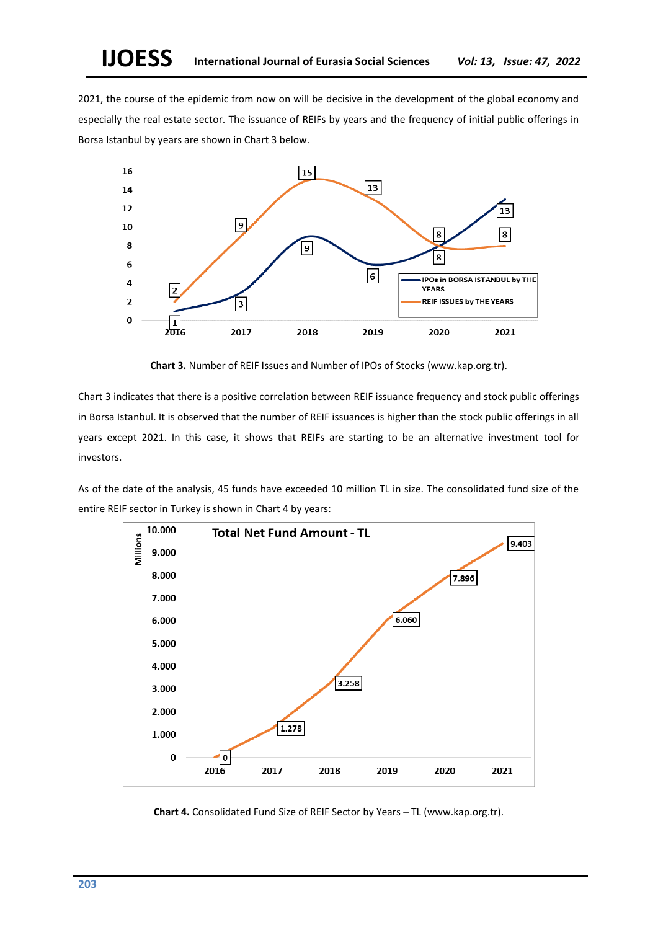2021, the course of the epidemic from now on will be decisive in the development of the global economy and especially the real estate sector. The issuance of REIFs by years and the frequency of initial public offerings in Borsa Istanbul by years are shown in Chart 3 below.



**Chart 3.** Number of REIF Issues and Number of IPOs of Stocks (www.kap.org.tr).

Chart 3 indicates that there is a positive correlation between REIF issuance frequency and stock public offerings in Borsa Istanbul. It is observed that the number of REIF issuances is higher than the stock public offerings in all years except 2021. In this case, it shows that REIFs are starting to be an alternative investment tool for investors.

As of the date of the analysis, 45 funds have exceeded 10 million TL in size. The consolidated fund size of the entire REIF sector in Turkey is shown in Chart 4 by years:



**Chart 4.** Consolidated Fund Size of REIF Sector by Years – TL (www.kap.org.tr).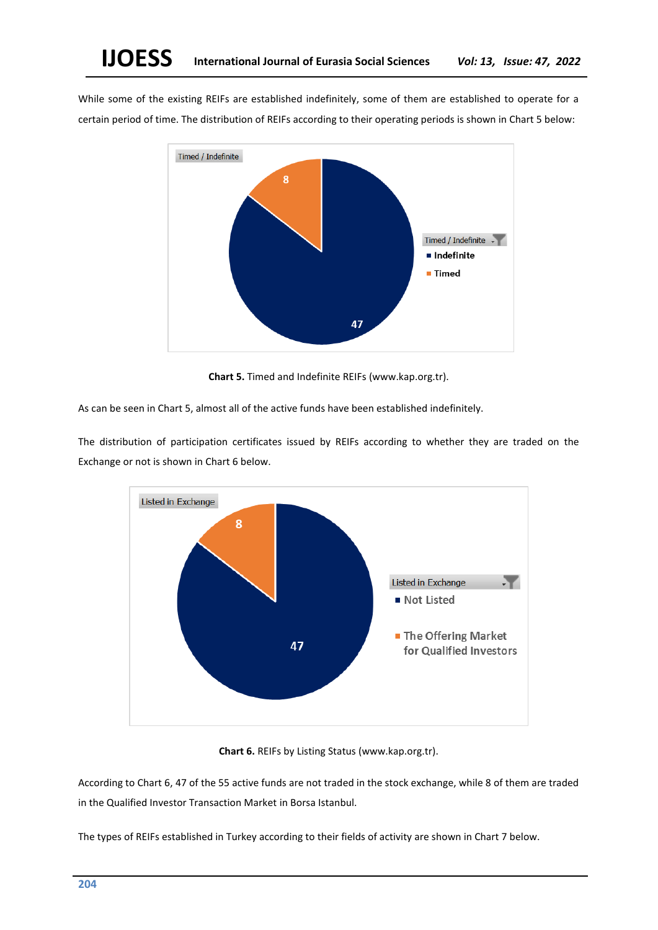While some of the existing REIFs are established indefinitely, some of them are established to operate for a certain period of time. The distribution of REIFs according to their operating periods is shown in Chart 5 below:



**Chart 5.** Timed and Indefinite REIFs (www.kap.org.tr).

As can be seen in Chart 5, almost all of the active funds have been established indefinitely.

The distribution of participation certificates issued by REIFs according to whether they are traded on the Exchange or not is shown in Chart 6 below.



**Chart 6.** REIFs by Listing Status (www.kap.org.tr).

According to Chart 6, 47 of the 55 active funds are not traded in the stock exchange, while 8 of them are traded in the Qualified Investor Transaction Market in Borsa Istanbul.

The types of REIFs established in Turkey according to their fields of activity are shown in Chart 7 below.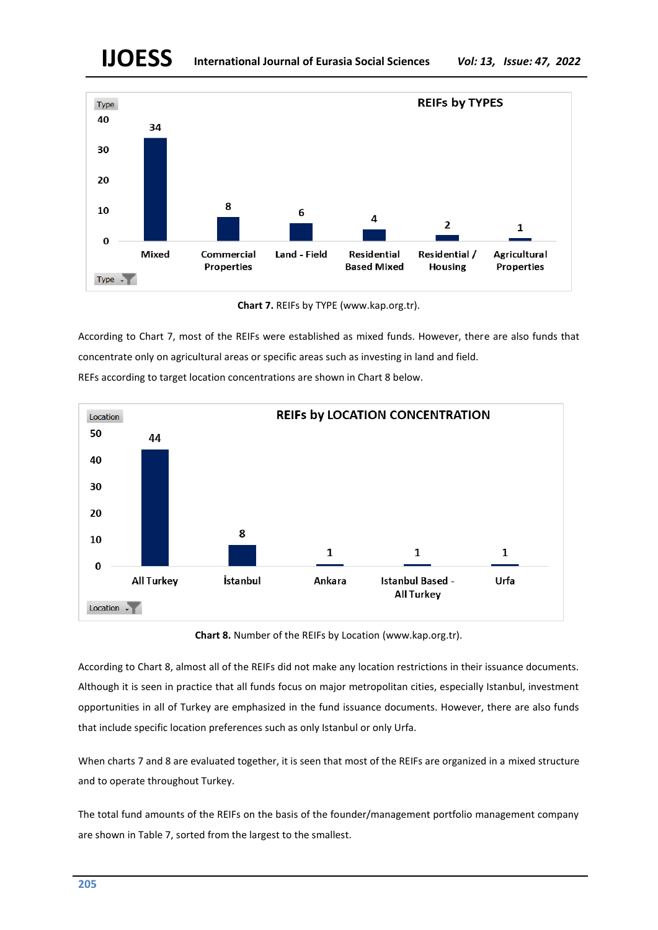# **IJOESS International Journal of Eurasia Social Sciences** *Vol: 13, Issue: 47, 2022*



**Chart 7.** REIFs by TYPE (www.kap.org.tr).

According to Chart 7, most of the REIFs were established as mixed funds. However, there are also funds that concentrate only on agricultural areas or specific areas such as investing in land and field. REFs according to target location concentrations are shown in Chart 8 below.



**Chart 8.** Number of the REIFs by Location (www.kap.org.tr).

According to Chart 8, almost all of the REIFs did not make any location restrictions in their issuance documents. Although it is seen in practice that all funds focus on major metropolitan cities, especially Istanbul, investment opportunities in all of Turkey are emphasized in the fund issuance documents. However, there are also funds that include specific location preferences such as only Istanbul or only Urfa.

When charts 7 and 8 are evaluated together, it is seen that most of the REIFs are organized in a mixed structure and to operate throughout Turkey.

The total fund amounts of the REIFs on the basis of the founder/management portfolio management company are shown in Table 7, sorted from the largest to the smallest.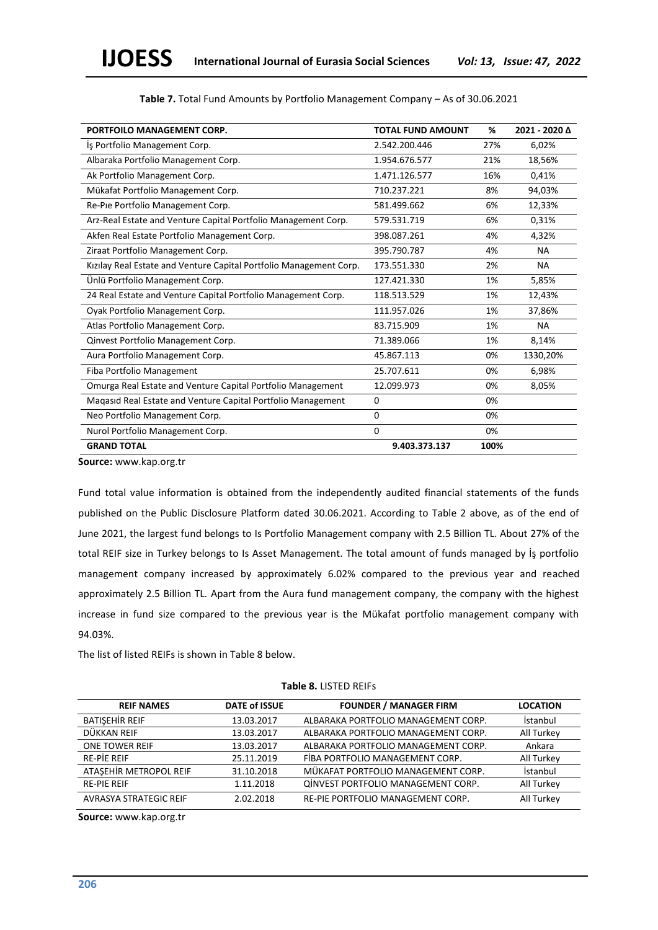| PORTFOILO MANAGEMENT CORP.                                         | <b>TOTAL FUND AMOUNT</b> | %    | 2021 - 2020 ∆ |
|--------------------------------------------------------------------|--------------------------|------|---------------|
| Is Portfolio Management Corp.                                      | 2.542.200.446            | 27%  | 6,02%         |
| Albaraka Portfolio Management Corp.                                | 1.954.676.577            | 21%  | 18,56%        |
| Ak Portfolio Management Corp.                                      | 1.471.126.577            | 16%  | 0,41%         |
| Mükafat Portfolio Management Corp.                                 | 710.237.221              | 8%   | 94,03%        |
| Re-Pie Portfolio Management Corp.                                  | 581.499.662              | 6%   | 12,33%        |
| Arz-Real Estate and Venture Capital Portfolio Management Corp.     | 579.531.719              | 6%   | 0,31%         |
| Akfen Real Estate Portfolio Management Corp.                       | 398.087.261              | 4%   | 4,32%         |
| Ziraat Portfolio Management Corp.                                  | 395.790.787              | 4%   | <b>NA</b>     |
| Kızılay Real Estate and Venture Capital Portfolio Management Corp. | 173.551.330              | 2%   | <b>NA</b>     |
| Ünlü Portfolio Management Corp.                                    | 127.421.330              | 1%   | 5,85%         |
| 24 Real Estate and Venture Capital Portfolio Management Corp.      | 118.513.529              | 1%   | 12,43%        |
| Oyak Portfolio Management Corp.                                    | 111.957.026              | 1%   | 37,86%        |
| Atlas Portfolio Management Corp.                                   | 83.715.909               | 1%   | <b>NA</b>     |
| Qinvest Portfolio Management Corp.                                 | 71.389.066               | 1%   | 8,14%         |
| Aura Portfolio Management Corp.                                    | 45.867.113               | 0%   | 1330,20%      |
| Fiba Portfolio Management                                          | 25.707.611               | 0%   | 6,98%         |
| Omurga Real Estate and Venture Capital Portfolio Management        | 12.099.973               | 0%   | 8,05%         |
| Maqasıd Real Estate and Venture Capital Portfolio Management       | $\Omega$                 | 0%   |               |
| Neo Portfolio Management Corp.                                     | 0                        | 0%   |               |
| Nurol Portfolio Management Corp.                                   | 0                        | 0%   |               |
| <b>GRAND TOTAL</b>                                                 | 9.403.373.137            | 100% |               |

**Source:** www.kap.org.tr

Fund total value information is obtained from the independently audited financial statements of the funds published on the Public Disclosure Platform dated 30.06.2021. According to Table 2 above, as of the end of June 2021, the largest fund belongs to Is Portfolio Management company with 2.5 Billion TL. About 27% of the total REIF size in Turkey belongs to Is Asset Management. The total amount of funds managed by İş portfolio management company increased by approximately 6.02% compared to the previous year and reached approximately 2.5 Billion TL. Apart from the Aura fund management company, the company with the highest increase in fund size compared to the previous year is the Mükafat portfolio management company with 94.03%.

The list of listed REIFs is shown in Table 8 below.

| <b>REIF NAMES</b>      | <b>DATE of ISSUE</b> | <b>FOUNDER / MANAGER FIRM</b>       | <b>LOCATION</b> |
|------------------------|----------------------|-------------------------------------|-----------------|
| BATISEHIR REIF         | 13.03.2017           | ALBARAKA PORTFOLIO MANAGEMENT CORP. | İstanbul        |
| DÜKKAN REIF            | 13.03.2017           | ALBARAKA PORTFOLIO MANAGEMENT CORP. | All Turkey      |
| <b>ONE TOWER REIF</b>  | 13.03.2017           | ALBARAKA PORTFOLIO MANAGEMENT CORP. | Ankara          |
| <b>RE-PIE REIF</b>     | 25.11.2019           | FIBA PORTFOLIO MANAGEMENT CORP.     | All Turkey      |
| ATASEHIR METROPOL REIF | 31.10.2018           | MÜKAFAT PORTFOLIO MANAGEMENT CORP.  | İstanbul        |
| <b>RE-PIE REIF</b>     | 1.11.2018            | QİNVEST PORTFOLIO MANAGEMENT CORP.  | All Turkey      |
| AVRASYA STRATEGIC REIF | 2.02.2018            | RE-PIE PORTFOLIO MANAGEMENT CORP.   | All Turkey      |
|                        |                      |                                     |                 |

## **Table 8.** LISTED REIFs

**Source:** www.kap.org.tr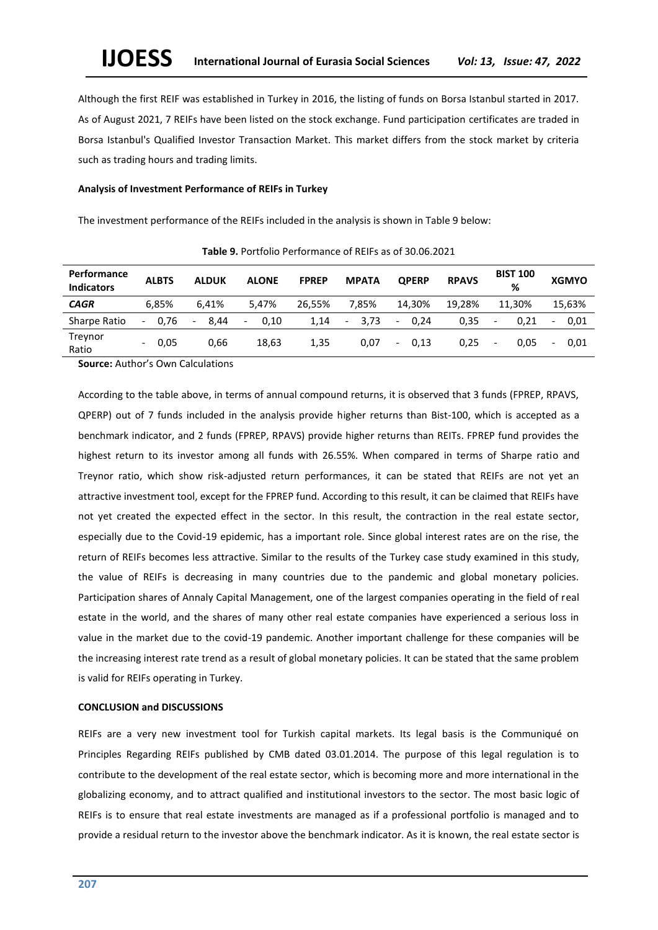Although the first REIF was established in Turkey in 2016, the listing of funds on Borsa Istanbul started in 2017. As of August 2021, 7 REIFs have been listed on the stock exchange. Fund participation certificates are traded in Borsa Istanbul's Qualified Investor Transaction Market. This market differs from the stock market by criteria such as trading hours and trading limits.

#### **Analysis of Investment Performance of REIFs in Turkey**

The investment performance of the REIFs included in the analysis is shown in Table 9 below:

| Performance<br><b>Indicators</b> | <b>ALBTS</b>                     | <b>ALDUK</b>                     | <b>ALONE</b>                     | <b>FPREP</b> | <b>MPATA</b>       | <b>OPERP</b>                         | <b>RPAVS</b> | <b>BIST 100</b><br>% | <b>XGMYO</b> |
|----------------------------------|----------------------------------|----------------------------------|----------------------------------|--------------|--------------------|--------------------------------------|--------------|----------------------|--------------|
| <b>CAGR</b>                      | 6.85%                            | 6.41%                            | 5.47%                            | 26.55%       | 7.85%              | 14.30%                               | 19.28%       | 11.30%               | 15.63%       |
| Sharpe Ratio                     | 0.76<br>$\overline{\phantom{0}}$ | 8.44<br>$\overline{\phantom{a}}$ | 0.10<br>$\overline{\phantom{a}}$ | 1,14         | 3.73<br>$\sim 100$ | 0.24<br>$\overline{\phantom{0}}$     | 0,35         | 0.21                 | 0.01<br>-    |
| Treynor<br>Ratio                 | 0.05<br>$\overline{\phantom{a}}$ | 0.66                             | 18,63                            | 1,35         | 0,07               | 0.13<br>$\qquad \qquad \blacksquare$ | 0.25         | 0.05                 | 0.01<br>-    |

**Table 9.** Portfolio Performance of REIFs as of 30.06.2021

**Source:** Author's Own Calculations

According to the table above, in terms of annual compound returns, it is observed that 3 funds (FPREP, RPAVS, QPERP) out of 7 funds included in the analysis provide higher returns than Bist-100, which is accepted as a benchmark indicator, and 2 funds (FPREP, RPAVS) provide higher returns than REITs. FPREP fund provides the highest return to its investor among all funds with 26.55%. When compared in terms of Sharpe ratio and Treynor ratio, which show risk-adjusted return performances, it can be stated that REIFs are not yet an attractive investment tool, except for the FPREP fund. According to this result, it can be claimed that REIFs have not yet created the expected effect in the sector. In this result, the contraction in the real estate sector, especially due to the Covid-19 epidemic, has a important role. Since global interest rates are on the rise, the return of REIFs becomes less attractive. Similar to the results of the Turkey case study examined in this study, the value of REIFs is decreasing in many countries due to the pandemic and global monetary policies. Participation shares of Annaly Capital Management, one of the largest companies operating in the field of real estate in the world, and the shares of many other real estate companies have experienced a serious loss in value in the market due to the covid-19 pandemic. Another important challenge for these companies will be the increasing interest rate trend as a result of global monetary policies. It can be stated that the same problem is valid for REIFs operating in Turkey.

#### **CONCLUSION and DISCUSSIONS**

REIFs are a very new investment tool for Turkish capital markets. Its legal basis is the Communiqué on Principles Regarding REIFs published by CMB dated 03.01.2014. The purpose of this legal regulation is to contribute to the development of the real estate sector, which is becoming more and more international in the globalizing economy, and to attract qualified and institutional investors to the sector. The most basic logic of REIFs is to ensure that real estate investments are managed as if a professional portfolio is managed and to provide a residual return to the investor above the benchmark indicator. As it is known, the real estate sector is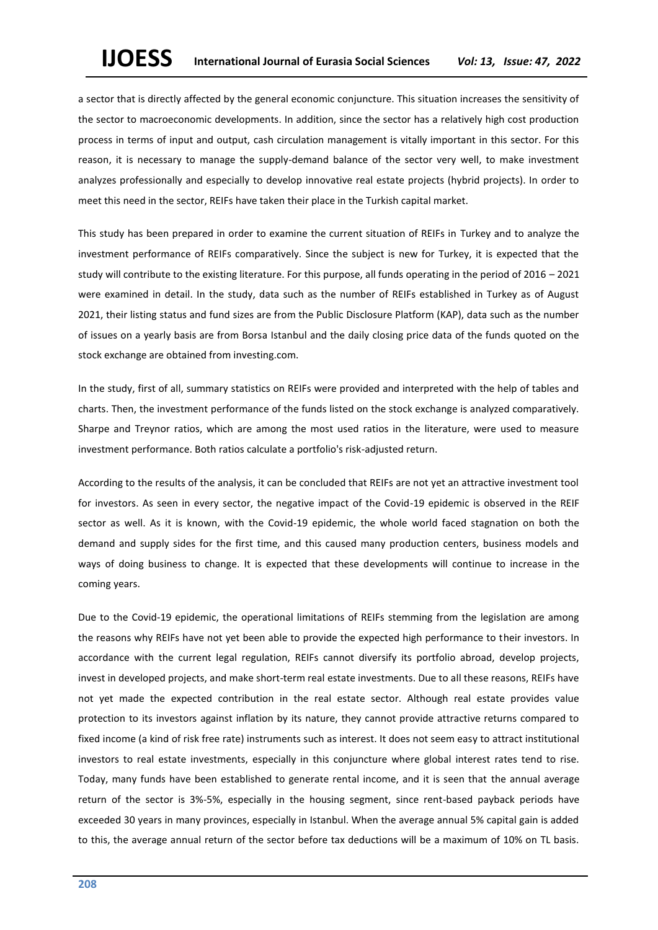a sector that is directly affected by the general economic conjuncture. This situation increases the sensitivity of the sector to macroeconomic developments. In addition, since the sector has a relatively high cost production process in terms of input and output, cash circulation management is vitally important in this sector. For this reason, it is necessary to manage the supply-demand balance of the sector very well, to make investment analyzes professionally and especially to develop innovative real estate projects (hybrid projects). In order to meet this need in the sector, REIFs have taken their place in the Turkish capital market.

This study has been prepared in order to examine the current situation of REIFs in Turkey and to analyze the investment performance of REIFs comparatively. Since the subject is new for Turkey, it is expected that the study will contribute to the existing literature. For this purpose, all funds operating in the period of 2016 – 2021 were examined in detail. In the study, data such as the number of REIFs established in Turkey as of August 2021, their listing status and fund sizes are from the Public Disclosure Platform (KAP), data such as the number of issues on a yearly basis are from Borsa Istanbul and the daily closing price data of the funds quoted on the stock exchange are obtained from investing.com.

In the study, first of all, summary statistics on REIFs were provided and interpreted with the help of tables and charts. Then, the investment performance of the funds listed on the stock exchange is analyzed comparatively. Sharpe and Treynor ratios, which are among the most used ratios in the literature, were used to measure investment performance. Both ratios calculate a portfolio's risk-adjusted return.

According to the results of the analysis, it can be concluded that REIFs are not yet an attractive investment tool for investors. As seen in every sector, the negative impact of the Covid-19 epidemic is observed in the REIF sector as well. As it is known, with the Covid-19 epidemic, the whole world faced stagnation on both the demand and supply sides for the first time, and this caused many production centers, business models and ways of doing business to change. It is expected that these developments will continue to increase in the coming years.

Due to the Covid-19 epidemic, the operational limitations of REIFs stemming from the legislation are among the reasons why REIFs have not yet been able to provide the expected high performance to their investors. In accordance with the current legal regulation, REIFs cannot diversify its portfolio abroad, develop projects, invest in developed projects, and make short-term real estate investments. Due to all these reasons, REIFs have not yet made the expected contribution in the real estate sector. Although real estate provides value protection to its investors against inflation by its nature, they cannot provide attractive returns compared to fixed income (a kind of risk free rate) instruments such as interest. It does not seem easy to attract institutional investors to real estate investments, especially in this conjuncture where global interest rates tend to rise. Today, many funds have been established to generate rental income, and it is seen that the annual average return of the sector is 3%-5%, especially in the housing segment, since rent-based payback periods have exceeded 30 years in many provinces, especially in Istanbul. When the average annual 5% capital gain is added to this, the average annual return of the sector before tax deductions will be a maximum of 10% on TL basis.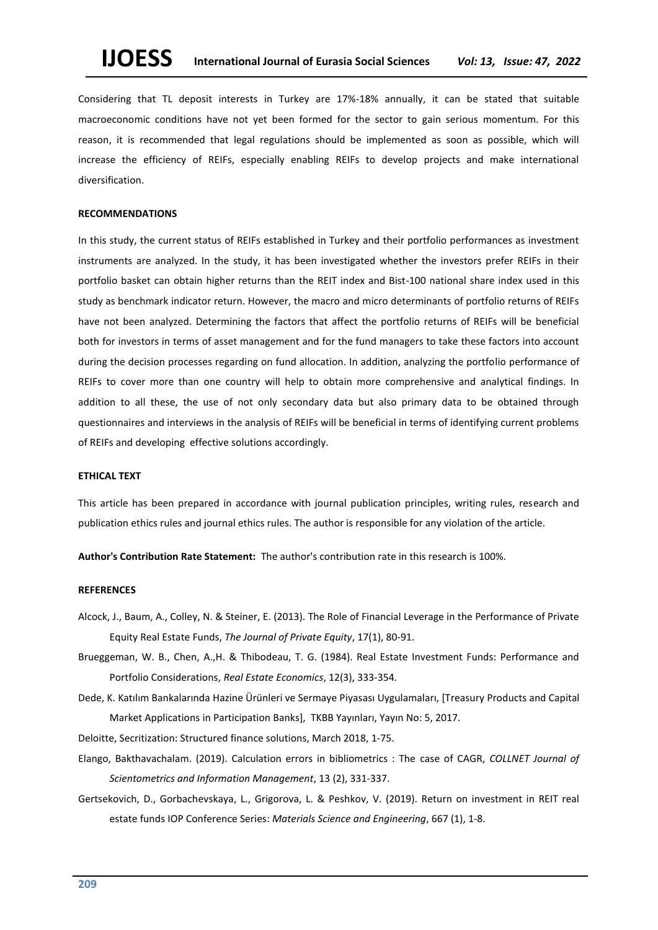Considering that TL deposit interests in Turkey are 17%-18% annually, it can be stated that suitable macroeconomic conditions have not yet been formed for the sector to gain serious momentum. For this reason, it is recommended that legal regulations should be implemented as soon as possible, which will increase the efficiency of REIFs, especially enabling REIFs to develop projects and make international diversification.

#### **RECOMMENDATIONS**

In this study, the current status of REIFs established in Turkey and their portfolio performances as investment instruments are analyzed. In the study, it has been investigated whether the investors prefer REIFs in their portfolio basket can obtain higher returns than the REIT index and Bist-100 national share index used in this study as benchmark indicator return. However, the macro and micro determinants of portfolio returns of REIFs have not been analyzed. Determining the factors that affect the portfolio returns of REIFs will be beneficial both for investors in terms of asset management and for the fund managers to take these factors into account during the decision processes regarding on fund allocation. In addition, analyzing the portfolio performance of REIFs to cover more than one country will help to obtain more comprehensive and analytical findings. In addition to all these, the use of not only secondary data but also primary data to be obtained through questionnaires and interviews in the analysis of REIFs will be beneficial in terms of identifying current problems of REIFs and developing effective solutions accordingly.

## **ETHICAL TEXT**

This article has been prepared in accordance with journal publication principles, writing rules, research and publication ethics rules and journal ethics rules. The author is responsible for any violation of the article.

**Author's Contribution Rate Statement:** The author's contribution rate in this research is 100%.

#### **REFERENCES**

- Alcock, J., Baum, A., Colley, N. & Steiner, E. (2013). The Role of Financial Leverage in the Performance of Private Equity Real Estate Funds, *The Journal of Private Equity*, 17(1), 80-91.
- Brueggeman, W. B., Chen, A.,H. & Thibodeau, [T. G. \(](https://onlinelibrary.wiley.com/action/doSearch?ContribAuthorStored=Thibodeau%2C+T+G)1984). Real Estate Investment Funds: Performance and Portfolio Considerations, *Real Estate Economics*, 12(3), 333-354.
- Dede, K. Katılım Bankalarında Hazine Ürünleri ve Sermaye Piyasası Uygulamaları, [Treasury Products and Capital Market Applications in Participation Banks], TKBB Yayınları, Yayın No: 5, 2017.

Deloitte, Secritization: Structured finance solutions, March 2018, 1-75.

- Elango, Bakthavachalam. (2019). Calculation errors in bibliometrics : The case of CAGR, *COLLNET Journal of Scientometrics and Information Management*, 13 (2), 331-337.
- Gertsekovich, D., Gorbachevskaya, L., Grigorova, L. & Peshkov, V. (2019). Return on investment in REIT real estate funds IOP Conference Series: *Materials Science and Engineering*, 667 (1), 1-8.